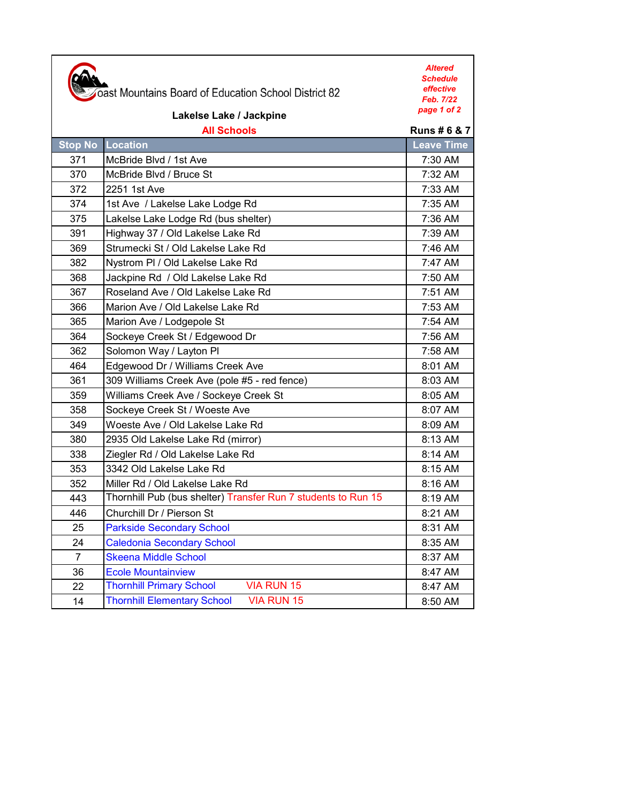|                         | oast Mountains Board of Education School District 82          | <b>Altered</b><br><b>Schedule</b><br>effective<br>Feb. 7/22<br>page 1 of 2 |
|-------------------------|---------------------------------------------------------------|----------------------------------------------------------------------------|
| Lakelse Lake / Jackpine |                                                               |                                                                            |
|                         | <b>All Schools</b>                                            | <b>Runs #6 &amp; 7</b>                                                     |
|                         | <b>Stop No Location</b>                                       | <b>Leave Time</b>                                                          |
| 371                     | McBride Blvd / 1st Ave                                        | 7:30 AM                                                                    |
| 370                     | McBride Blvd / Bruce St                                       | 7:32 AM                                                                    |
| 372                     | 2251 1st Ave                                                  | 7:33 AM                                                                    |
| 374                     | 1st Ave / Lakelse Lake Lodge Rd                               | 7:35 AM                                                                    |
| 375                     | Lakelse Lake Lodge Rd (bus shelter)                           | $7:36$ AM                                                                  |
| 391                     | Highway 37 / Old Lakelse Lake Rd                              | 7:39 AM                                                                    |
| 369                     | Strumecki St / Old Lakelse Lake Rd                            | $7:46$ AM                                                                  |
| 382                     | Nystrom PI / Old Lakelse Lake Rd                              | $7:47$ AM                                                                  |
| 368                     | Jackpine Rd / Old Lakelse Lake Rd                             | 7:50 AM                                                                    |
| 367                     | Roseland Ave / Old Lakelse Lake Rd                            | 7:51 AM                                                                    |
| 366                     | Marion Ave / Old Lakelse Lake Rd                              | 7:53 AM                                                                    |
| 365                     | Marion Ave / Lodgepole St                                     | 7:54 AM                                                                    |
| 364                     | Sockeye Creek St / Edgewood Dr                                | 7:56 AM                                                                    |
| 362                     | Solomon Way / Layton Pl                                       | 7:58 AM                                                                    |
| 464                     | Edgewood Dr / Williams Creek Ave                              | 8:01 AM                                                                    |
| 361                     | 309 Williams Creek Ave (pole #5 - red fence)                  | 8:03 AM                                                                    |
| 359                     | Williams Creek Ave / Sockeye Creek St                         | 8:05 AM                                                                    |
| 358                     | Sockeye Creek St / Woeste Ave                                 | 8:07 AM                                                                    |
| 349                     | Woeste Ave / Old Lakelse Lake Rd                              | 8:09 AM                                                                    |
| 380                     | 2935 Old Lakelse Lake Rd (mirror)                             | 8:13 AM                                                                    |
| 338                     | Ziegler Rd / Old Lakelse Lake Rd                              | 8:14 AM                                                                    |
| 353                     | 3342 Old Lakelse Lake Rd                                      | 8:15 AM                                                                    |
| 352                     | Miller Rd / Old Lakelse Lake Rd                               | 8:16 AM                                                                    |
| 443                     | Thornhill Pub (bus shelter) Transfer Run 7 students to Run 15 | 8:19 AM                                                                    |
| 446                     | Churchill Dr / Pierson St                                     | 8:21 AM                                                                    |
| 25                      | <b>Parkside Secondary School</b>                              | 8:31 AM                                                                    |
| 24                      | <b>Caledonia Secondary School</b>                             | 8:35 AM                                                                    |
| $\overline{7}$          | <b>Skeena Middle School</b>                                   | 8:37 AM                                                                    |
| 36                      | <b>Ecole Mountainview</b>                                     | 8:47 AM                                                                    |
| 22                      | <b>Thornhill Primary School</b><br><b>VIA RUN 15</b>          | 8:47 AM                                                                    |
| 14                      | <b>Thornhill Elementary School</b><br><b>VIA RUN 15</b>       | 8:50 AM                                                                    |